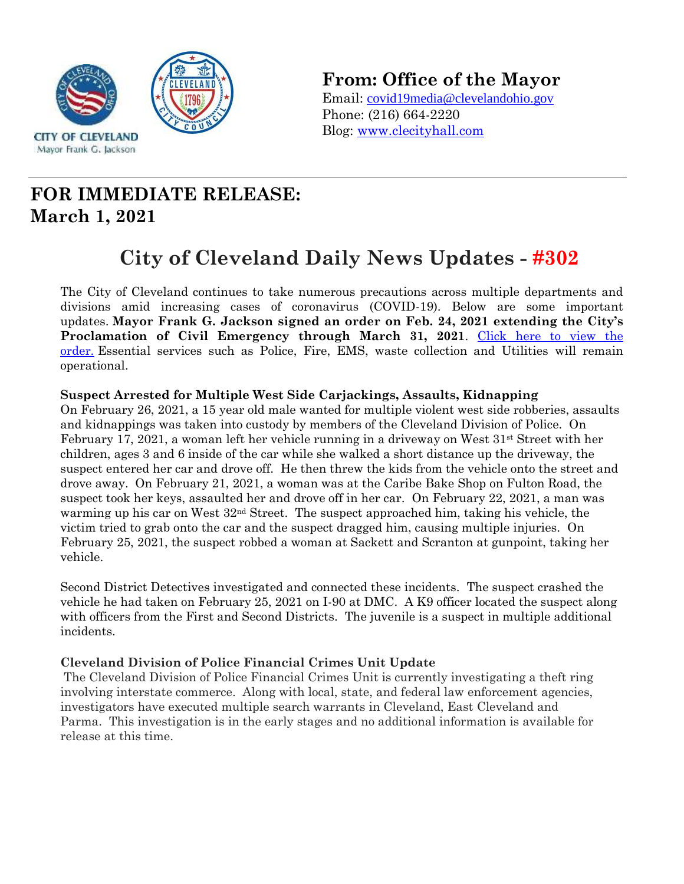

**From: Office of the Mayor**

Email: covid19media@clevelandohio.gov Phone: (216) 664-2220 Blog: www.clecityhall.com

## **FOR IMMEDIATE RELEASE: March 1, 2021**

# **City of Cleveland Daily News Updates - #302**

The City of Cleveland continues to take numerous precautions across multiple departments and divisions amid increasing cases of coronavirus (COVID-19). Below are some important updates. **Mayor Frank G. Jackson signed an order on Feb. 24, 2021 extending the City's**  Proclamation of Civil Emergency through March 31, 2021. Click here to view the [order.](https://clecityhall.files.wordpress.com/2021/02/proc-of-civil-emergency-march.pdf) Essential services such as Police, Fire, EMS, waste collection and Utilities will remain operational.

#### **Suspect Arrested for Multiple West Side Carjackings, Assaults, Kidnapping**

On February 26, 2021, a 15 year old male wanted for multiple violent west side robberies, assaults and kidnappings was taken into custody by members of the Cleveland Division of Police. On February 17, 2021, a woman left her vehicle running in a driveway on West  $31<sup>st</sup>$  Street with her children, ages 3 and 6 inside of the car while she walked a short distance up the driveway, the suspect entered her car and drove off. He then threw the kids from the vehicle onto the street and drove away. On February 21, 2021, a woman was at the Caribe Bake Shop on Fulton Road, the suspect took her keys, assaulted her and drove off in her car. On February 22, 2021, a man was warming up his car on West  $32<sup>nd</sup>$  Street. The suspect approached him, taking his vehicle, the victim tried to grab onto the car and the suspect dragged him, causing multiple injuries. On February 25, 2021, the suspect robbed a woman at Sackett and Scranton at gunpoint, taking her vehicle.

Second District Detectives investigated and connected these incidents. The suspect crashed the vehicle he had taken on February 25, 2021 on I-90 at DMC. A K9 officer located the suspect along with officers from the First and Second Districts. The juvenile is a suspect in multiple additional incidents.

#### **Cleveland Division of Police Financial Crimes Unit Update**

The Cleveland Division of Police Financial Crimes Unit is currently investigating a theft ring involving interstate commerce. Along with local, state, and federal law enforcement agencies, investigators have executed multiple search warrants in Cleveland, East Cleveland and Parma. This investigation is in the early stages and no additional information is available for release at this time.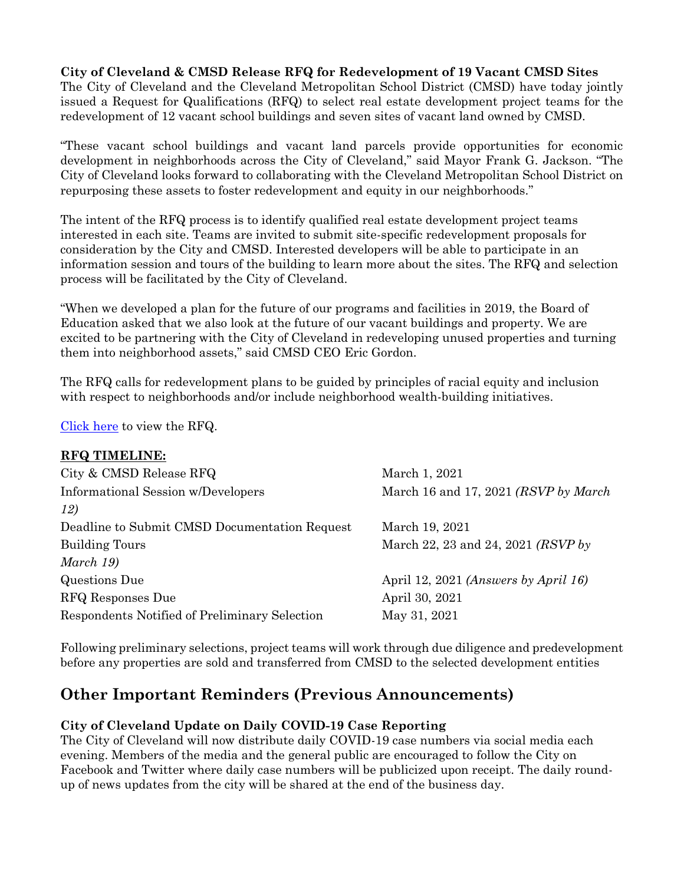**City of Cleveland & CMSD Release RFQ for Redevelopment of 19 Vacant CMSD Sites**

The City of Cleveland and the Cleveland Metropolitan School District (CMSD) have today jointly issued a Request for Qualifications (RFQ) to select real estate development project teams for the redevelopment of 12 vacant school buildings and seven sites of vacant land owned by CMSD.

"These vacant school buildings and vacant land parcels provide opportunities for economic development in neighborhoods across the City of Cleveland," said Mayor Frank G. Jackson. "The City of Cleveland looks forward to collaborating with the Cleveland Metropolitan School District on repurposing these assets to foster redevelopment and equity in our neighborhoods."

The intent of the RFQ process is to identify qualified real estate development project teams interested in each site. Teams are invited to submit site-specific redevelopment proposals for consideration by the City and CMSD. Interested developers will be able to participate in an information session and tours of the building to learn more about the sites. The RFQ and selection process will be facilitated by the City of Cleveland.

"When we developed a plan for the future of our programs and facilities in 2019, the Board of Education asked that we also look at the future of our vacant buildings and property. We are excited to be partnering with the City of Cleveland in redeveloping unused properties and turning them into neighborhood assets," said CMSD CEO Eric Gordon.

The RFQ calls for redevelopment plans to be guided by principles of racial equity and inclusion with respect to neighborhoods and/or include neighborhood wealth-building initiatives.

[Click here](http://www.city.cleveland.oh.us/node/165891) to view the RFQ.

|  |  | <b>RFQ TIMELINE:</b> |
|--|--|----------------------|
|--|--|----------------------|

| City & CMSD Release RFQ                       | March 1, 2021                        |
|-----------------------------------------------|--------------------------------------|
| Informational Session w/Developers            | March 16 and 17, 2021 (RSVP by March |
| 12)                                           |                                      |
| Deadline to Submit CMSD Documentation Request | March 19, 2021                       |
| <b>Building Tours</b>                         | March 22, 23 and 24, 2021 (RSVP by   |
| March 19)                                     |                                      |
| Questions Due                                 | April 12, 2021 (Answers by April 16) |
| RFQ Responses Due                             | April 30, 2021                       |
| Respondents Notified of Preliminary Selection | May 31, 2021                         |

Following preliminary selections, project teams will work through due diligence and predevelopment before any properties are sold and transferred from CMSD to the selected development entities

### **Other Important Reminders (Previous Announcements)**

#### **City of Cleveland Update on Daily COVID-19 Case Reporting**

The City of Cleveland will now distribute daily COVID-19 case numbers via social media each evening. Members of the media and the general public are encouraged to follow the City on Facebook and Twitter where daily case numbers will be publicized upon receipt. The daily roundup of news updates from the city will be shared at the end of the business day.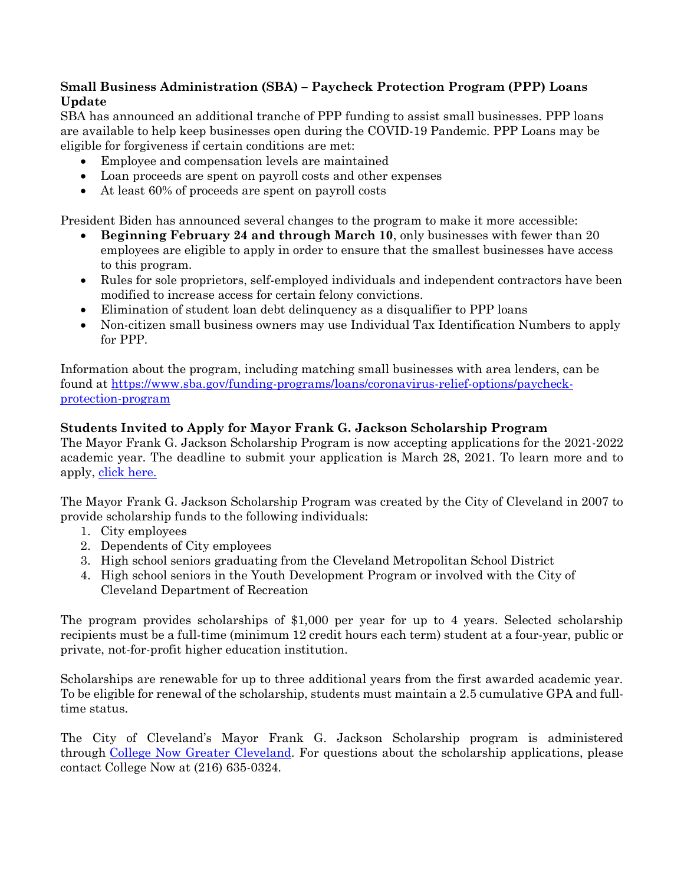#### **Small Business Administration (SBA) – Paycheck Protection Program (PPP) Loans Update**

SBA has announced an additional tranche of PPP funding to assist small businesses. PPP loans are available to help keep businesses open during the COVID-19 Pandemic. PPP Loans may be eligible for forgiveness if certain conditions are met:

- Employee and compensation levels are maintained
- Loan proceeds are spent on payroll costs and other expenses
- At least 60% of proceeds are spent on payroll costs

President Biden has announced several changes to the program to make it more accessible:

- **Beginning February 24 and through March 10**, only businesses with fewer than 20 employees are eligible to apply in order to ensure that the smallest businesses have access to this program.
- Rules for sole proprietors, self-employed individuals and independent contractors have been modified to increase access for certain felony convictions.
- Elimination of student loan debt delinquency as a disqualifier to PPP loans
- Non-citizen small business owners may use Individual Tax Identification Numbers to apply for PPP.

Information about the program, including matching small businesses with area lenders, can be found at [https://www.sba.gov/funding-programs/loans/coronavirus-relief-options/paycheck](https://www.sba.gov/funding-programs/loans/coronavirus-relief-options/paycheck-protection-program)[protection-program](https://www.sba.gov/funding-programs/loans/coronavirus-relief-options/paycheck-protection-program)

#### **Students Invited to Apply for Mayor Frank G. Jackson Scholarship Program**

The Mayor Frank G. Jackson Scholarship Program is now accepting applications for the 2021-2022 academic year. The deadline to submit your application is March 28, 2021. To learn more and to apply, [click here.](https://app.smarterselect.com/programs/71707-College-Now-Greater-Cleveland)

The Mayor Frank G. Jackson Scholarship Program was created by the City of Cleveland in 2007 to provide scholarship funds to the following individuals:

- 1. City employees
- 2. Dependents of City employees
- 3. High school seniors graduating from the Cleveland Metropolitan School District
- 4. High school seniors in the Youth Development Program or involved with the City of Cleveland Department of Recreation

The program provides scholarships of \$1,000 per year for up to 4 years. Selected scholarship recipients must be a full-time (minimum 12 credit hours each term) student at a four-year, public or private, not-for-profit higher education institution.

Scholarships are renewable for up to three additional years from the first awarded academic year. To be eligible for renewal of the scholarship, students must maintain a 2.5 cumulative GPA and fulltime status.

The City of Cleveland's Mayor Frank G. Jackson Scholarship program is administered through [College Now Greater Cleveland.](https://www.collegenowgc.org/) For questions about the scholarship applications, please contact College Now at (216) 635-0324.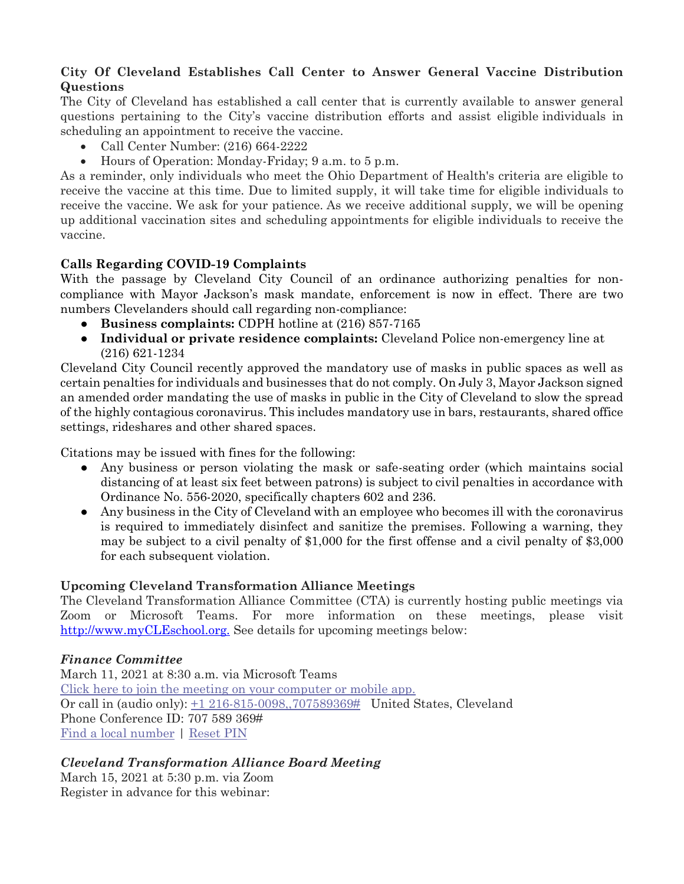#### **City Of Cleveland Establishes Call Center to Answer General Vaccine Distribution Questions**

The City of Cleveland has established a call center that is currently available to answer general questions pertaining to the City's vaccine distribution efforts and assist eligible individuals in scheduling an appointment to receive the vaccine.

- Call Center Number: (216) 664-2222
- Hours of Operation: Monday-Friday; 9 a.m. to 5 p.m.

As a reminder, only individuals who meet the Ohio Department of Health's criteria are eligible to receive the vaccine at this time. Due to limited supply, it will take time for eligible individuals to receive the vaccine. We ask for your patience. As we receive additional supply, we will be opening up additional vaccination sites and scheduling appointments for eligible individuals to receive the vaccine.

#### **Calls Regarding COVID-19 Complaints**

With the passage by Cleveland City Council of an ordinance authorizing penalties for noncompliance with Mayor Jackson's mask mandate, enforcement is now in effect. There are two numbers Clevelanders should call regarding non-compliance:

- **Business complaints:** CDPH hotline at (216) 857-7165
- **Individual or private residence complaints:** Cleveland Police non-emergency line at (216) 621-1234

Cleveland City Council recently approved the mandatory use of masks in public spaces as well as certain penalties for individuals and businesses that do not comply. On July 3, Mayor Jackson signed an amended order mandating the use of masks in public in the City of Cleveland to slow the spread of the highly contagious coronavirus. This includes mandatory use in bars, restaurants, shared office settings, rideshares and other shared spaces.

Citations may be issued with fines for the following:

- Any business or person violating the mask or safe-seating order (which maintains social distancing of at least six feet between patrons) is subject to civil penalties in accordance with Ordinance No. 556-2020, specifically chapters 602 and 236.
- Any business in the City of Cleveland with an employee who becomes ill with the coronavirus is required to immediately disinfect and sanitize the premises. Following a warning, they may be subject to a civil penalty of \$1,000 for the first offense and a civil penalty of \$3,000 for each subsequent violation.

#### **Upcoming Cleveland Transformation Alliance Meetings**

The Cleveland Transformation Alliance Committee (CTA) is currently hosting public meetings via Zoom or Microsoft Teams. For more information on these meetings, please visit [http://www.myCLEschool.org.](http://www.mycleschool.org/) See details for upcoming meetings below:

#### *Finance Committee*

March 11, 2021 at 8:30 a.m. via Microsoft Teams [Click here to join the meeting](https://teams.microsoft.com/l/meetup-join/19%3ameeting_YmQ3NDU3NmEtY2Q2MC00MWI0LWIyYzAtYzEwMDQwMWUzNTM1%40thread.v2/0?context=%7b%22Tid%22%3a%225dbb3024-8bde-472a-bcff-d8774687efc6%22%2c%22Oid%22%3a%22409b8b97-4589-4eea-a7bb-f33766222c64%22%7d) on your computer or mobile app. Or call in (audio only): [+1 216-815-0098,,707589369#](tel:+12168150098,,707589369%23) United States, Cleveland Phone Conference ID: 707 589 369# [Find a local number](https://dialin.teams.microsoft.com/515d6b75-647f-4efc-a2a8-d5f428dd99fd?id=707589369) | [Reset PIN](https://mysettings.lync.com/pstnconferencing)

#### *Cleveland Transformation Alliance Board Meeting*

March 15, 2021 at 5:30 p.m. via Zoom Register in advance for this webinar: